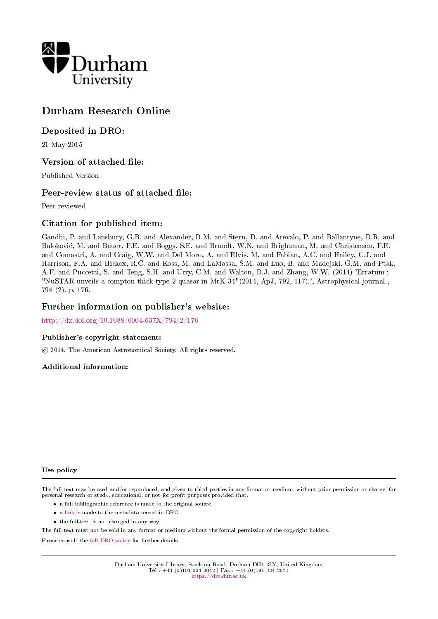

# Durham Research Online

# Deposited in DRO:

21 May 2015

# Version of attached file:

Published Version

# Peer-review status of attached file:

Peer-reviewed

# Citation for published item:

Gandhi, P. and Lansbury, G.B. and Alexander, D.M. and Stern, D. and Arevalo, P. and Ballantyne, D.R. and Balokovic, M. and Bauer, F.E. and Boggs, S.E. and Brandt, W.N. and Brightman, M. and Christensen, F.E. and Comastri, A. and Craig, W.W. and Del Moro, A. and Elvis, M. and Fabian, A.C. and Hailey, C.J. and Harrison, F.A. and Hickox, R.C. and Koss, M. and LaMassa, S.M. and Luo, B. and Madejski, G.M. and Ptak, A.F. and Puccetti, S. and Teng, S.H. and Urry, C.M. and Walton, D.J. and Zhang, W.W. (2014) 'Erratum : "NuSTAR unveils a compton-thick type 2 quasar in MrK 34"(2014, ApJ, 792, 117).', Astrophysical journal., 794 (2). p. 176.

## Further information on publisher's website:

<http://dx.doi.org/10.1088/0004-637X/794/2/176>

### Publisher's copyright statement:

c 2014. The American Astronomical Society. All rights reserved.

### Additional information:

### Use policy

The full-text may be used and/or reproduced, and given to third parties in any format or medium, without prior permission or charge, for personal research or study, educational, or not-for-profit purposes provided that:

- a full bibliographic reference is made to the original source
- a [link](http://dro.dur.ac.uk/15491/) is made to the metadata record in DRO
- the full-text is not changed in any way

The full-text must not be sold in any format or medium without the formal permission of the copyright holders.

Please consult the [full DRO policy](https://dro.dur.ac.uk/policies/usepolicy.pdf) for further details.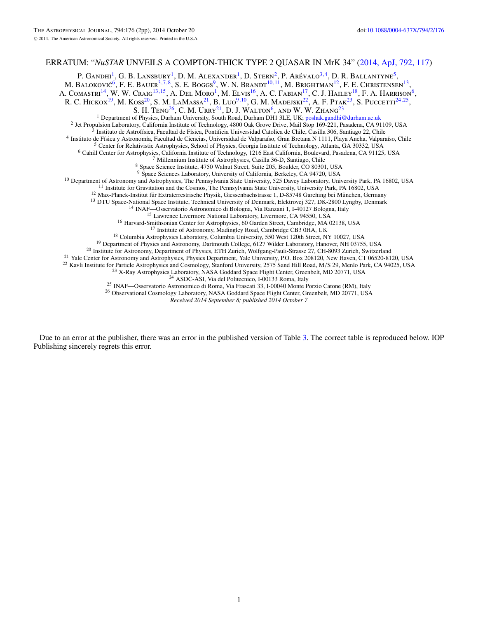### ERRATUM: "*NuSTAR* UNVEILS A COMPTON-THICK TYPE 2 QUASAR IN MrK 34" [\(2014, ApJ, 792, 117\)](http://dx.doi.org/10.1088/0004-637X/792/2/117)

P. Gandhi<sup>1</sup>, G. B. Lansbury<sup>1</sup>, D. M. Alexander<sup>1</sup>, D. Stern<sup>2</sup>, P. Arévalo<sup>3,4</sup>, D. R. Ballantyne<sup>5</sup>, M. Baloković<sup>6</sup>, F. E. Bauer<sup>3,7,8</sup>, S. E. Boggs<sup>9</sup>, W. N. Brandt<sup>10,11</sup>, M. Brightman<sup>12</sup>, F. E. Christensen<sup>13</sup>, A. Comastri<sup>14</sup>, W. W. Craig<sup>13,15</sup>, A. Del Moro<sup>1</sup>, M. Elvis<sup>16</sup>, A. C. Fabian<sup>17</sup>, C. J. Hailey<sup>18</sup>, F. A. Harrison<sup>6</sup>, R. C. Hickox<sup>19</sup>, M. Koss<sup>20</sup>, S. M. LaMassa<sup>21</sup>, B. Luo<sup>9,10</sup>, G. M. Madejski<sup>22</sup>, A. F. Ptak<sup>23</sup>, S. Puccetti<sup>24,25</sup>, S. H. TENG<sup>26</sup>, C. M. URRY<sup>21</sup>, D. J. WALTON<sup>6</sup>, AND W. W. ZHANG<sup>23</sup><br><sup>1</sup> Department of Physics, Durham University, South Road, Durham DH1 3LE, UK; poshak.gandhi@durham.ac.uk <sup>2</sup> Jet Propulsion Laboratory, California Institute of Technology, 4800 Oak Grove Drive, Mail Stop 169-221, Pasadena, CA 91109, USA<br><sup>3</sup> Instituto de Astrofísica, Facultad de Física, Pontificia Universidad Catolica de Chil <sup>10</sup> Department of Astronomy and Astrophysics, The Pennsylvania State University, 525 Davey Laboratory, University Park, PA 16802, USA<br>
<sup>12</sup> Institut for Graviation and the Cossons, The Pennsylvania State University, Uni *Received 2014 September 8; published 2014 October 7*

Due to an error at the publisher, there was an error in the published version of Table [3.](#page-2-0) The correct table is reproduced below. IOP Publishing sincerely regrets this error.